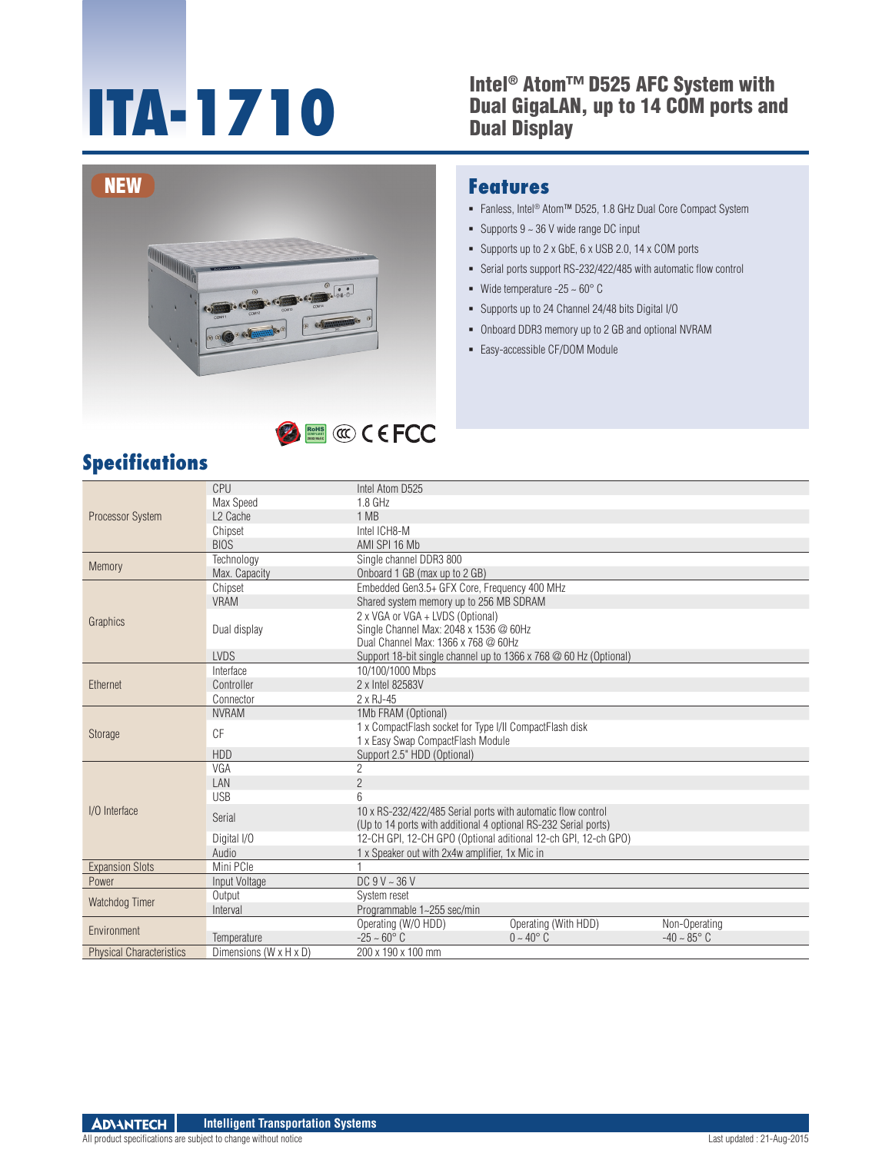#### **Intel® Atom™ D525 AFC System with<br>Dual GigaLAN, up to 14 COM ports an<br>Dual Display** Dual GigaLAN, up to 14 COM ports and Dual Display



# RoHS **COMPLIANT 2002/95/EC**

### **Specifications**

#### **Features**

- Fanless, Intel® Atom™ D525, 1.8 GHz Dual Core Compact System
- Supports  $9 \sim 36$  V wide range DC input
- Supports up to 2 x GbE, 6 x USB 2.0, 14 x COM ports
- Serial ports support RS-232/422/485 with automatic flow control
- Wide temperature -25  $\sim$  60 $^{\circ}$  C
- Supports up to 24 Channel 24/48 bits Digital I/O
- Onboard DDR3 memory up to 2 GB and optional NVRAM
- Easy-accessible CF/DOM Module

| Processor System                | CPU                    | Intel Atom D525                                                                                                                 |                      |                      |  |  |
|---------------------------------|------------------------|---------------------------------------------------------------------------------------------------------------------------------|----------------------|----------------------|--|--|
|                                 | Max Speed              | $1.8$ GHz                                                                                                                       |                      |                      |  |  |
|                                 | L <sub>2</sub> Cache   | 1 MB                                                                                                                            |                      |                      |  |  |
|                                 | Chipset                | Intel ICH8-M                                                                                                                    |                      |                      |  |  |
|                                 | <b>BIOS</b>            | AMI SPI 16 Mb                                                                                                                   |                      |                      |  |  |
| Memory                          | Technology             | Single channel DDR3 800                                                                                                         |                      |                      |  |  |
|                                 | Max. Capacity          | Onboard 1 GB (max up to 2 GB)                                                                                                   |                      |                      |  |  |
| Graphics                        | Chipset                | Embedded Gen3.5+ GFX Core, Frequency 400 MHz                                                                                    |                      |                      |  |  |
|                                 | <b>VRAM</b>            | Shared system memory up to 256 MB SDRAM                                                                                         |                      |                      |  |  |
|                                 | Dual display           | 2 x VGA or VGA + LVDS (Optional)<br>Single Channel Max: 2048 x 1536 @ 60Hz<br>Dual Channel Max: 1366 x 768 @ 60Hz               |                      |                      |  |  |
|                                 | <b>LVDS</b>            | Support 18-bit single channel up to 1366 x 768 @ 60 Hz (Optional)                                                               |                      |                      |  |  |
| Ethernet                        | Interface              | 10/100/1000 Mbps                                                                                                                |                      |                      |  |  |
|                                 | Controller             | 2 x Intel 82583V                                                                                                                |                      |                      |  |  |
|                                 | Connector              | 2 x RJ-45                                                                                                                       |                      |                      |  |  |
|                                 | <b>NVRAM</b>           | 1Mb FRAM (Optional)                                                                                                             |                      |                      |  |  |
| <b>Storage</b>                  | C F                    | 1 x CompactFlash socket for Type I/II CompactFlash disk<br>1 x Easy Swap CompactFlash Module                                    |                      |                      |  |  |
|                                 | <b>HDD</b>             | Support 2.5" HDD (Optional)                                                                                                     |                      |                      |  |  |
|                                 | VGA                    | $\overline{c}$                                                                                                                  |                      |                      |  |  |
|                                 | LAN                    | $\overline{2}$                                                                                                                  |                      |                      |  |  |
|                                 | <b>USB</b>             | 6                                                                                                                               |                      |                      |  |  |
| I/O Interface                   | Serial                 | 10 x RS-232/422/485 Serial ports with automatic flow control<br>(Up to 14 ports with additional 4 optional RS-232 Serial ports) |                      |                      |  |  |
|                                 | Digital I/O            | 12-CH GPI, 12-CH GPO (Optional aditional 12-ch GPI, 12-ch GPO)                                                                  |                      |                      |  |  |
|                                 | Audio                  | 1 x Speaker out with 2x4w amplifier, 1x Mic in                                                                                  |                      |                      |  |  |
| <b>Expansion Slots</b>          | Mini PCle              |                                                                                                                                 |                      |                      |  |  |
| Power                           | Input Voltage          | DC $9V - 36V$                                                                                                                   |                      |                      |  |  |
| Watchdog Timer                  | Output                 | System reset                                                                                                                    |                      |                      |  |  |
|                                 | Interval               | Programmable 1~255 sec/min                                                                                                      |                      |                      |  |  |
| Environment                     |                        | Operating (W/O HDD)                                                                                                             | Operating (With HDD) | Non-Operating        |  |  |
|                                 | Temperature            | $-25 - 60^{\circ}$ C                                                                                                            | $0 - 40^{\circ}$ C   | $-40 - 85^{\circ}$ C |  |  |
| <b>Physical Characteristics</b> | Dimensions (W x H x D) | 200 x 190 x 100 mm                                                                                                              |                      |                      |  |  |